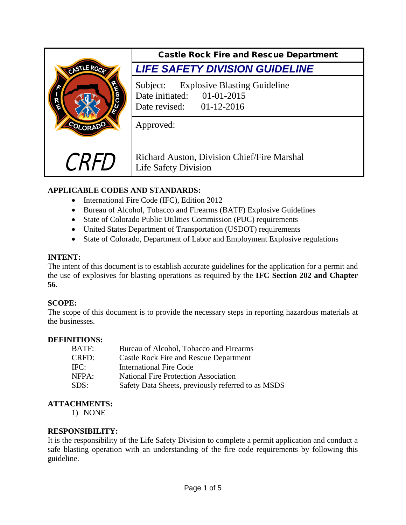

# **APPLICABLE CODES AND STANDARDS:**

- International Fire Code (IFC), Edition 2012
- Bureau of Alcohol, Tobacco and Firearms (BATF) Explosive Guidelines
- State of Colorado Public Utilities Commission (PUC) requirements
- United States Department of Transportation (USDOT) requirements
- State of Colorado, Department of Labor and Employment Explosive regulations

## **INTENT:**

The intent of this document is to establish accurate guidelines for the application for a permit and the use of explosives for blasting operations as required by the **IFC Section 202 and Chapter 56**.

## **SCOPE:**

The scope of this document is to provide the necessary steps in reporting hazardous materials at the businesses.

#### **DEFINITIONS:**

| Bureau of Alcohol, Tobacco and Firearms            |
|----------------------------------------------------|
| <b>Castle Rock Fire and Rescue Department</b>      |
| <b>International Fire Code</b>                     |
| <b>National Fire Protection Association</b>        |
| Safety Data Sheets, previously referred to as MSDS |
|                                                    |

#### **ATTACHMENTS:**

1) NONE

#### **RESPONSIBILITY:**

It is the responsibility of the Life Safety Division to complete a permit application and conduct a safe blasting operation with an understanding of the fire code requirements by following this guideline.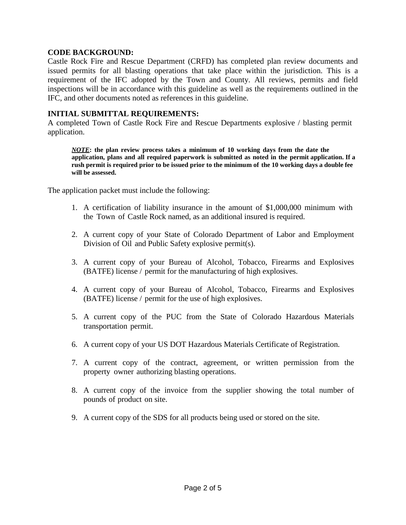#### **CODE BACKGROUND:**

Castle Rock Fire and Rescue Department (CRFD) has completed plan review documents and issued permits for all blasting operations that take place within the jurisdiction. This is a requirement of the IFC adopted by the Town and County. All reviews, permits and field inspections will be in accordance with this guideline as well as the requirements outlined in the IFC, and other documents noted as references in this guideline.

#### **INITIAL SUBMITTAL REQUIREMENTS:**

A completed Town of Castle Rock Fire and Rescue Departments explosive / blasting permit application.

*NOTE***: the plan review process takes a minimum of 10 working days from the date the application, plans and all required paperwork is submitted as noted in the permit application. If a rush permit is required prior to be issued prior to the minimum of the 10 working days a double fee will be assessed.**

The application packet must include the following:

- 1. A certification of liability insurance in the amount of \$1,000,000 minimum with the Town of Castle Rock named, as an additional insured is required.
- 2. A current copy of your State of Colorado Department of Labor and Employment Division of Oil and Public Safety explosive permit(s).
- 3. A current copy of your Bureau of Alcohol, Tobacco, Firearms and Explosives (BATFE) license / permit for the manufacturing of high explosives.
- 4. A current copy of your Bureau of Alcohol, Tobacco, Firearms and Explosives (BATFE) license / permit for the use of high explosives.
- 5. A current copy of the PUC from the State of Colorado Hazardous Materials transportation permit.
- 6. A current copy of your US DOT Hazardous Materials Certificate of Registration.
- 7. A current copy of the contract, agreement, or written permission from the property owner authorizing blasting operations.
- 8. A current copy of the invoice from the supplier showing the total number of pounds of product on site.
- 9. A current copy of the SDS for all products being used or stored on the site.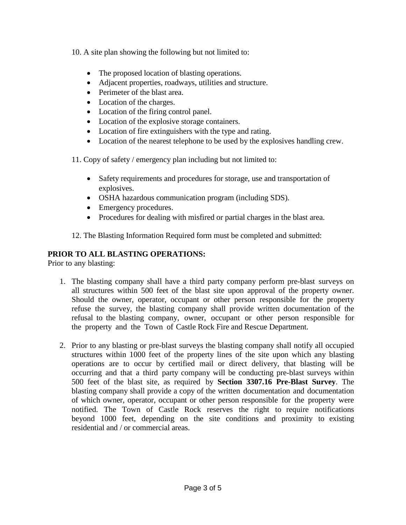10. A site plan showing the following but not limited to:

- The proposed location of blasting operations.
- Adjacent properties, roadways, utilities and structure.
- Perimeter of the blast area.
- Location of the charges.
- Location of the firing control panel.
- Location of the explosive storage containers.
- Location of fire extinguishers with the type and rating.
- Location of the nearest telephone to be used by the explosives handling crew.

11. Copy of safety / emergency plan including but not limited to:

- Safety requirements and procedures for storage, use and transportation of explosives.
- OSHA hazardous communication program (including SDS).
- Emergency procedures.
- Procedures for dealing with misfired or partial charges in the blast area.

12. The Blasting Information Required form must be completed and submitted:

## **PRIOR TO ALL BLASTING OPERATIONS:**

Prior to any blasting:

- 1. The blasting company shall have a third party company perform pre-blast surveys on all structures within 500 feet of the blast site upon approval of the property owner. Should the owner, operator, occupant or other person responsible for the property refuse the survey, the blasting company shall provide written documentation of the refusal to the blasting company, owner, occupant or other person responsible for the property and the Town of Castle Rock Fire and Rescue Department.
- 2. Prior to any blasting or pre-blast surveys the blasting company shall notify all occupied structures within 1000 feet of the property lines of the site upon which any blasting operations are to occur by certified mail or direct delivery, that blasting will be occurring and that a third party company will be conducting pre-blast surveys within 500 feet of the blast site, as required by **Section 3307.16 Pre-Blast Survey**. The blasting company shall provide a copy of the written documentation and documentation of which owner, operator, occupant or other person responsible for the property were notified. The Town of Castle Rock reserves the right to require notifications beyond 1000 feet, depending on the site conditions and proximity to existing residential and / or commercial areas.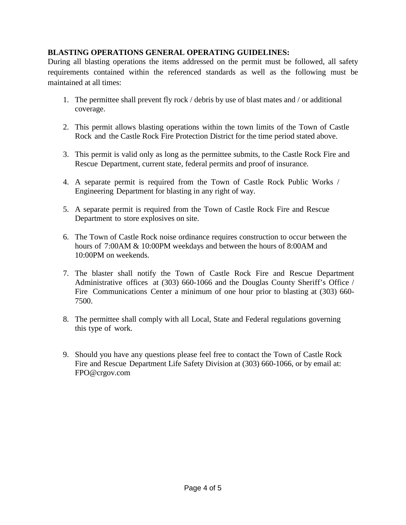## **BLASTING OPERATIONS GENERAL OPERATING GUIDELINES:**

During all blasting operations the items addressed on the permit must be followed, all safety requirements contained within the referenced standards as well as the following must be maintained at all times:

- 1. The permittee shall prevent fly rock / debris by use of blast mates and / or additional coverage.
- 2. This permit allows blasting operations within the town limits of the Town of Castle Rock and the Castle Rock Fire Protection District for the time period stated above.
- 3. This permit is valid only as long as the permittee submits, to the Castle Rock Fire and Rescue Department, current state, federal permits and proof of insurance.
- 4. A separate permit is required from the Town of Castle Rock Public Works / Engineering Department for blasting in any right of way.
- 5. A separate permit is required from the Town of Castle Rock Fire and Rescue Department to store explosives on site.
- 6. The Town of Castle Rock noise ordinance requires construction to occur between the hours of 7:00AM & 10:00PM weekdays and between the hours of 8:00AM and 10:00PM on weekends.
- 7. The blaster shall notify the Town of Castle Rock Fire and Rescue Department Administrative offices at (303) 660-1066 and the Douglas County Sheriff's Office / Fire Communications Center a minimum of one hour prior to blasting at (303) 660- 7500.
- 8. The permittee shall comply with all Local, State and Federal regulations governing this type of work.
- 9. Should you have any questions please feel free to contact the Town of Castle Rock Fire and Rescue Department Life Safety Division at (303) 660-1066, or by email at: FPO@crgov.com